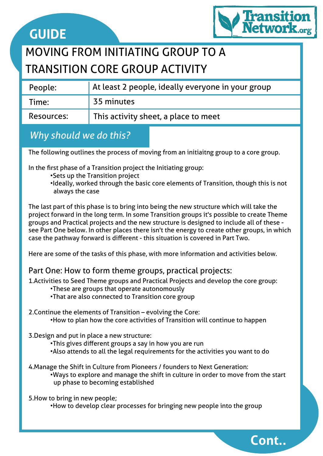

**Cont..**

## MOVING FROM INITIATING GROUP TO A TRANSITION CORE GROUP ACTIVITY

| People:    | At least 2 people, ideally everyone in your group |
|------------|---------------------------------------------------|
| Time:      | 35 minutes                                        |
| Resources: | This activity sheet, a place to meet              |

## *Why should we do this?*

The following outlines the process of moving from an initiaitng group to a core group.

In the first phase of a Transition project the Initiating group:

- •Sets up the Transition project
- •Ideally, worked through the basic core elements of Transition, though this is not always the case

The last part of this phase is to bring into being the new structure which will take the project forward in the long term. In some Transition groups it's possible to create Theme groups and Practical projects and the new structure is designed to include all of these see Part One below. In other places there isn't the energy to create other groups, in which case the pathway forward is different - this situation is covered in Part Two.

Here are some of the tasks of this phase, with more information and activities below.

### Part One: How to form theme groups, practical projects:

1.Activities to Seed Theme groups and Practical Projects and develop the core group:

- •These are groups that operate autonomously
- •That are also connected to Transition core group
- 2.Continue the elements of Transition evolving the Core:
	- •How to plan how the core activities of Transition will continue to happen
- 3.Design and put in place a new structure:
	- •This gives different groups a say in how you are run
	- •Also attends to all the legal requirements for the activities you want to do
- 4.Manage the Shift in Culture from Pioneers / founders to Next Generation:
	- •Ways to explore and manage the shift in culture in order to move from the start up phase to becoming established

5.How to bring in new people;

•How to develop clear processes for bringing new people into the group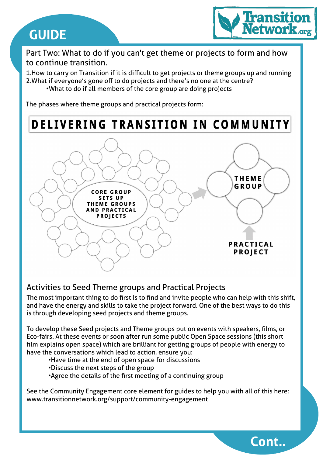

**Cont..**

Part Two: What to do if you can't get theme or projects to form and how to continue transition.

1.How to carry on Transition if it is difficult to get projects or theme groups up and running 2.What if everyone's gone off to do projects and there's no one at the centre? •What to do if all members of the core group are doing projects

The phases where theme groups and practical projects form:

## DELIVERING TRANSITION IN COMMUNITY



### Activities to Seed Theme groups and Practical Projects

The most important thing to do first is to find and invite people who can help with this shift, and have the energy and skills to take the project forward. One of the best ways to do this is through developing seed projects and theme groups.

To develop these Seed projects and Theme groups put on events with speakers, films, or Eco-fairs. At these events or soon after run some public Open Space sessions (this short film explains open space) which are brilliant for getting groups of people with energy to have the conversations which lead to action, ensure you:

- •Have time at the end of open space for discussions
- •Discuss the next steps of the group
- •Agree the details of the first meeting of a continuing group

See the Community Engagement core element for guides to help you with all of this here: www.transitionnetwork.org/support/community-engagement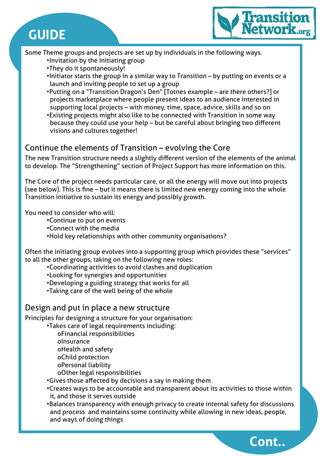



**Cont..**

Some Theme groups and projects are set up by individuals in the following ways.

- •Invitation by the Initiating group
- •They do it spontaneously!
- •Initiator starts the group in a similar way to Transition by putting on events or a launch and inviting people to set up a group
- •Putting on a "Transition Dragon's Den" [Totnes example are there others?] or projects marketplace where people present ideas to an audience interested in supporting local projects – with money, time, space, advice, skills and so on
- •Existing projects might also like to be connected with Transition in some way because they could use your help – but be careful about bringing two different visions and cultures together!

#### Continue the elements of Transition – evolving the Core

The new Transition structure needs a slightly different version of the elements of the animal to develop. The "Strengthening" section of Project Support has more information on this.

The Core of the project needs particular care, or all the energy will move out into projects (see below). This is fine – but it means there is limited new energy coming into the whole Transition initiative to sustain its energy and possibly growth.

You need to consider who will:

- •Continue to put on events
- •Connect with the media
- •Hold key relationships with other community organisations?

Often the initiating group evolves into a supporting group which provides these "services" to all the other groups, taking on the following new roles:

- •Coordinating activities to avoid clashes and duplication
- •Looking for synergies and opportunities
- •Developing a guiding strategy that works for all
- •Taking care of the well being of the whole

#### Design and put in place a new structure

Principles for designing a structure for your organisation:

•Takes care of legal requirements including:

- oFinancial responsibilities oInsurance oHealth and safety oChild protection oPersonal liability oOther legal responsibilities
- •Gives those affected by decisions a say in making them
- •Creates ways to be accountable and transparent about its activities to those within it, and those it serves outside
- •Balances transparency with enough privacy to create internal safety for discussions and process and maintains some continuity while allowing in new ideas, people, and ways of doing things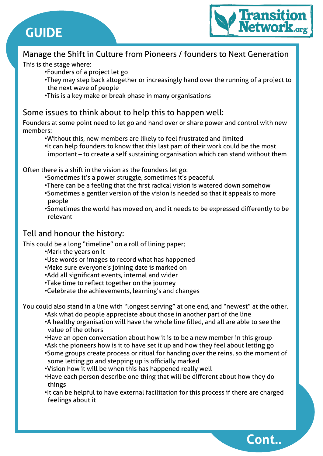

**Cont..**

## Manage the Shift in Culture from Pioneers / founders to Next Generation

This is the stage where:

- •Founders of a project let go
- •They may step back altogether or increasingly hand over the running of a project to the next wave of people
- •This is a key make or break phase in many organisations

#### Some issues to think about to help this to happen well:

Founders at some point need to let go and hand over or share power and control with new members:

- •Without this, new members are likely to feel frustrated and limited
- •It can help founders to know that this last part of their work could be the most important – to create a self sustaining organisation which can stand without them

Often there is a shift in the vision as the founders let go:

- •Sometimes it's a power struggle, sometimes it's peaceful
- •There can be a feeling that the first radical vision is watered down somehow
- •Sometimes a gentler version of the vision is needed so that it appeals to more people
- •Sometimes the world has moved on, and it needs to be expressed differently to be relevant

## Tell and honour the history:

This could be a long "timeline" on a roll of lining paper;

- •Mark the years on it
- •Use words or images to record what has happened
- •Make sure everyone's joining date is marked on
- •Add all significant events, internal and wider
- •Take time to reflect together on the journey
- •Celebrate the achievements, learning's and changes

You could also stand in a line with "longest serving" at one end, and "newest" at the other.

- •Ask what do people appreciate about those in another part of the line
- •A healthy organisation will have the whole line filled, and all are able to see the value of the others
- •Have an open conversation about how it is to be a new member in this group
- •Ask the pioneers how is it to have set it up and how they feel about letting go
- •Some groups create process or ritual for handing over the reins, so the moment of some letting go and stepping up is officially marked
- •Vision how it will be when this has happened really well
- •Have each person describe one thing that will be different about how they do things
- •It can be helpful to have external facilitation for this process if there are charged feelings about it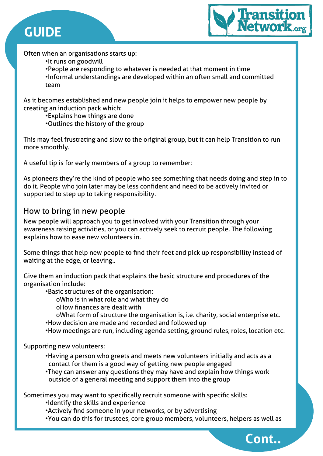



**Cont..**

Often when an organisations starts up:

•It runs on goodwill

•People are responding to whatever is needed at that moment in time •Informal understandings are developed within an often small and committed team

As it becomes established and new people join it helps to empower new people by creating an induction pack which:

•Explains how things are done

•Outlines the history of the group

This may feel frustrating and slow to the original group, but it can help Transition to run more smoothly.

A useful tip is for early members of a group to remember:

As pioneers they're the kind of people who see something that needs doing and step in to do it. People who join later may be less confident and need to be actively invited or supported to step up to taking responsibility.

#### How to bring in new people

New people will approach you to get involved with your Transition through your awareness raising activities, or you can actively seek to recruit people. The following explains how to ease new volunteers in.

Some things that help new people to find their feet and pick up responsibility instead of waiting at the edge, or leaving..

Give them an induction pack that explains the basic structure and procedures of the organisation include:

•Basic structures of the organisation:

oWho is in what role and what they do

oHow finances are dealt with

oWhat form of structure the organisation is, i.e. charity, social enterprise etc.

- •How decision are made and recorded and followed up
- •How meetings are run, including agenda setting, ground rules, roles, location etc.

Supporting new volunteers:

- •Having a person who greets and meets new volunteers initially and acts as a contact for them is a good way of getting new people engaged
- •They can answer any questions they may have and explain how things work outside of a general meeting and support them into the group

Sometimes you may want to specifically recruit someone with specific skills:

•Identify the skills and experience

•Actively find someone in your networks, or by advertising

•You can do this for trustees, core group members, volunteers, helpers as well as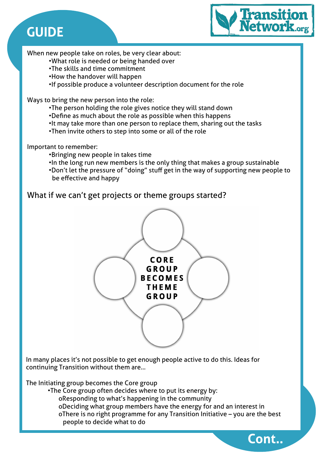

**Cont..**

When new people take on roles, be very clear about:

- •What role is needed or being handed over
- •The skills and time commitment
- •How the handover will happen
- •If possible produce a volunteer description document for the role

Ways to bring the new person into the role:

- •The person holding the role gives notice they will stand down
- •Define as much about the role as possible when this happens
- •It may take more than one person to replace them, sharing out the tasks
- •Then invite others to step into some or all of the role

Important to remember:

- •Bringing new people in takes time
- •In the long run new members is the only thing that makes a group sustainable
- •Don't let the pressure of "doing" stuff get in the way of supporting new people to be effective and happy

### What if we can't get projects or theme groups started?



In many places it's not possible to get enough people active to do this. Ideas for continuing Transition without them are…

The Initiating group becomes the Core group

- •The Core group often decides where to put its energy by:
	- oResponding to what's happening in the community
	- oDeciding what group members have the energy for and an interest in oThere is no right programme for any Transition Initiative – you are the best people to decide what to do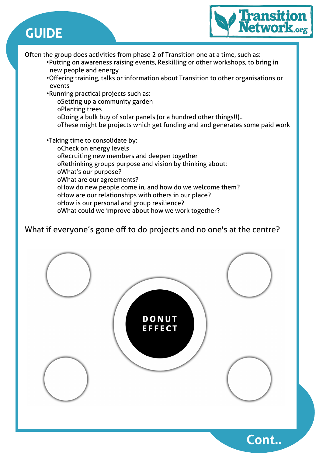

Often the group does activities from phase 2 of Transition one at a time, such as:

- •Putting on awareness raising events, Reskilling or other workshops, to bring in new people and energy
- •Offering training, talks or information about Transition to other organisations or events
- •Running practical projects such as:
	- oSetting up a community garden
	- oPlanting trees
	- oDoing a bulk buy of solar panels (or a hundred other things!!)..
	- oThese might be projects which get funding and and generates some paid work

•Taking time to consolidate by: oCheck on energy levels oRecruiting new members and deepen together oRethinking groups purpose and vision by thinking about: oWhat's our purpose? oWhat are our agreements? oHow do new people come in, and how do we welcome them? oHow are our relationships with others in our place? oHow is our personal and group resilience? oWhat could we improve about how we work together?

### What if everyone's gone off to do projects and no one's at the centre?